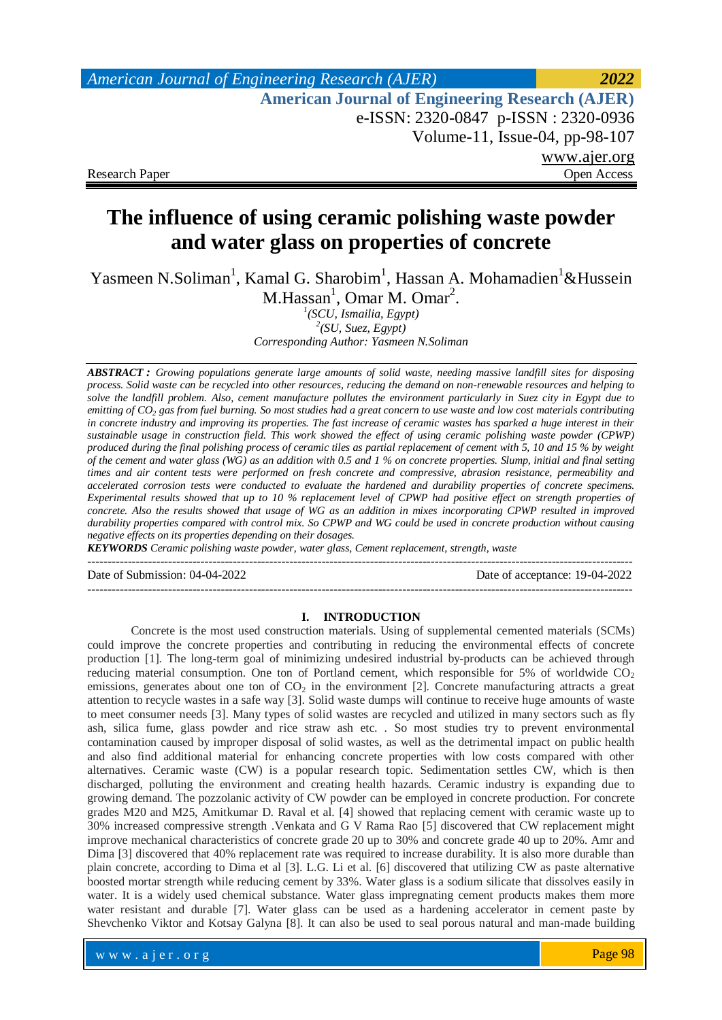# **The influence of using ceramic polishing waste powder and water glass on properties of concrete**

Yasmeen N.Soliman<sup>1</sup>, Kamal G. Sharobim<sup>1</sup>, Hassan A. Mohamadien<sup>1</sup>&Hussein

 $M.Hassan<sup>1</sup>, Omar M. Omar<sup>2</sup>.$ 

*1 (SCU, Ismailia, Egypt) 2 (SU, Suez, Egypt)* 

*Corresponding Author: Yasmeen N.Soliman*

*ABSTRACT : Growing populations generate large amounts of solid waste, needing massive landfill sites for disposing process. Solid waste can be recycled into other resources, reducing the demand on non-renewable resources and helping to solve the landfill problem. Also, cement manufacture pollutes the environment particularly in Suez city in Egypt due to emitting of CO<sup>2</sup> gas from fuel burning. So most studies had a great concern to use waste and low cost materials contributing in concrete industry and improving its properties. The fast increase of ceramic wastes has sparked a huge interest in their sustainable usage in construction field. This work showed the effect of using ceramic polishing waste powder (CPWP) produced during the final polishing process of ceramic tiles as partial replacement of cement with 5, 10 and 15 % by weight of the cement and water glass (WG) as an addition with 0.5 and 1 % on concrete properties. Slump, initial and final setting times and air content tests were performed on fresh concrete and compressive, abrasion resistance, permeability and accelerated corrosion tests were conducted to evaluate the hardened and durability properties of concrete specimens. Experimental results showed that up to 10 % replacement level of CPWP had positive effect on strength properties of concrete. Also the results showed that usage of WG as an addition in mixes incorporating CPWP resulted in improved durability properties compared with control mix. So CPWP and WG could be used in concrete production without causing negative effects on its properties depending on their dosages.*

*KEYWORDS Ceramic polishing waste powder, water glass, Cement replacement, strength, waste*

Date of Submission: 04-04-2022 Date of acceptance: 19-04-2022

## **I. INTRODUCTION**

---------------------------------------------------------------------------------------------------------------------------------------

---------------------------------------------------------------------------------------------------------------------------------------

Concrete is the most used construction materials. Using of supplemental cemented materials (SCMs) could improve the concrete properties and contributing in reducing the environmental effects of concrete production [1]. The long-term goal of minimizing undesired industrial by-products can be achieved through reducing material consumption. One ton of Portland cement, which responsible for  $5\%$  of worldwide  $CO<sub>2</sub>$ emissions, generates about one ton of  $CO<sub>2</sub>$  in the environment [2]. Concrete manufacturing attracts a great attention to recycle wastes in a safe way [3]. Solid waste dumps will continue to receive huge amounts of waste to meet consumer needs [3]. Many types of solid wastes are recycled and utilized in many sectors such as fly ash, silica fume, glass powder and rice straw ash etc. . So most studies try to prevent environmental contamination caused by improper disposal of solid wastes, as well as the detrimental impact on public health and also find additional material for enhancing concrete properties with low costs compared with other alternatives. Ceramic waste (CW) is a popular research topic. Sedimentation settles CW, which is then discharged, polluting the environment and creating health hazards. Ceramic industry is expanding due to growing demand. The pozzolanic activity of CW powder can be employed in concrete production. For concrete grades M20 and M25, Amitkumar D. Raval et al. [4] showed that replacing cement with ceramic waste up to 30% increased compressive strength .Venkata and G V Rama Rao [5] discovered that CW replacement might improve mechanical characteristics of concrete grade 20 up to 30% and concrete grade 40 up to 20%. Amr and Dima [3] discovered that 40% replacement rate was required to increase durability. It is also more durable than plain concrete, according to Dima et al [3]. L.G. Li et al. [6] discovered that utilizing CW as paste alternative boosted mortar strength while reducing cement by 33%. Water glass is a sodium silicate that dissolves easily in water. It is a widely used chemical substance. Water glass impregnating cement products makes them more water resistant and durable [7]. Water glass can be used as a hardening accelerator in cement paste by Shevchenko Viktor and Kotsay Galyna [8]. It can also be used to seal porous natural and man-made building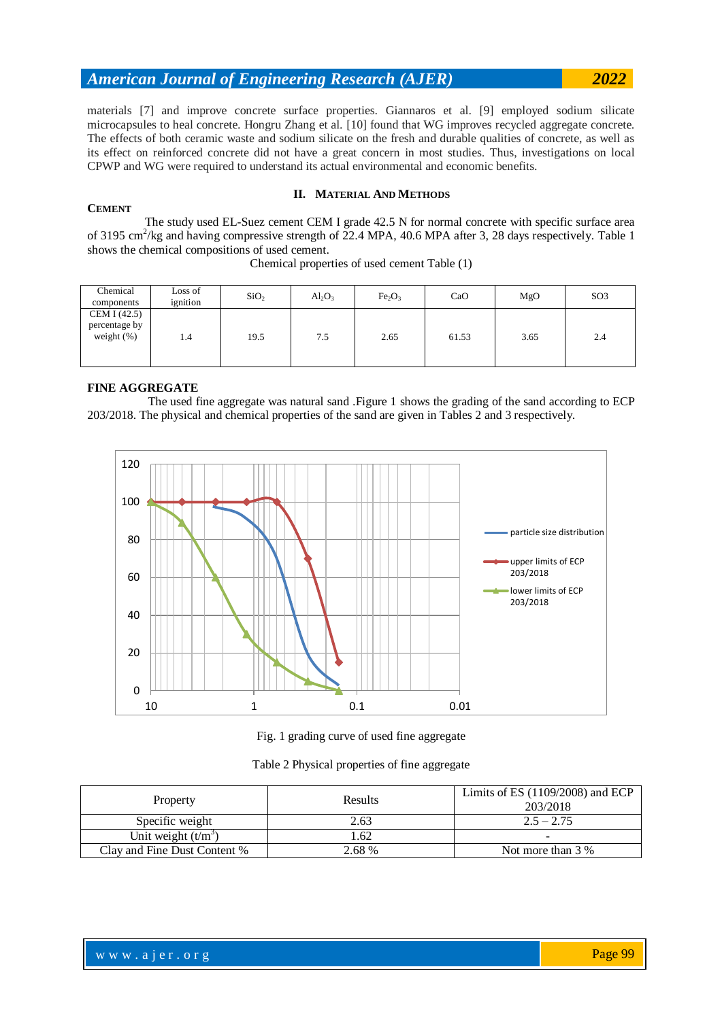materials [7] and improve concrete surface properties. Giannaros et al. [9] employed sodium silicate microcapsules to heal concrete. Hongru Zhang et al. [10] found that WG improves recycled aggregate concrete. The effects of both ceramic waste and sodium silicate on the fresh and durable qualities of concrete, as well as its effect on reinforced concrete did not have a great concern in most studies. Thus, investigations on local CPWP and WG were required to understand its actual environmental and economic benefits.

## **II. MATERIAL AND METHODS**

 The study used EL-Suez cement CEM I grade 42.5 N for normal concrete with specific surface area of 3195 cm<sup>2</sup>/kg and having compressive strength of 22.4 MPA, 40.6 MPA after 3, 28 days respectively. Table 1 shows the chemical compositions of used cement.

| Chemical<br>components                         | Loss of<br>ignition | SiO <sub>2</sub> | $Al_2O_3$ | Fe <sub>2</sub> O <sub>3</sub> | CaO   | MgO  | SO <sub>3</sub> |
|------------------------------------------------|---------------------|------------------|-----------|--------------------------------|-------|------|-----------------|
| CEM I (42.5)<br>percentage by<br>weight $(\%)$ | 1.4                 | 19.5             | 7.5       | 2.65                           | 61.53 | 3.65 | 2.4             |

Chemical properties of used cement Table (1)

#### **FINE AGGREGATE**

**CEMENT**

 The used fine aggregate was natural sand .Figure 1 shows the grading of the sand according to ECP 203/2018. The physical and chemical properties of the sand are given in Tables 2 and 3 respectively.





|  | Table 2 Physical properties of fine aggregate |  |
|--|-----------------------------------------------|--|
|  |                                               |  |

| Property                     | Results | Limits of ES $(1109/2008)$ and ECP<br>203/2018 |
|------------------------------|---------|------------------------------------------------|
| Specific weight              | 2.63    | $2.5 - 2.75$                                   |
| Unit weight $(t/m3)$         | .62     |                                                |
| Clay and Fine Dust Content % | 2.68 %  | Not more than 3 %                              |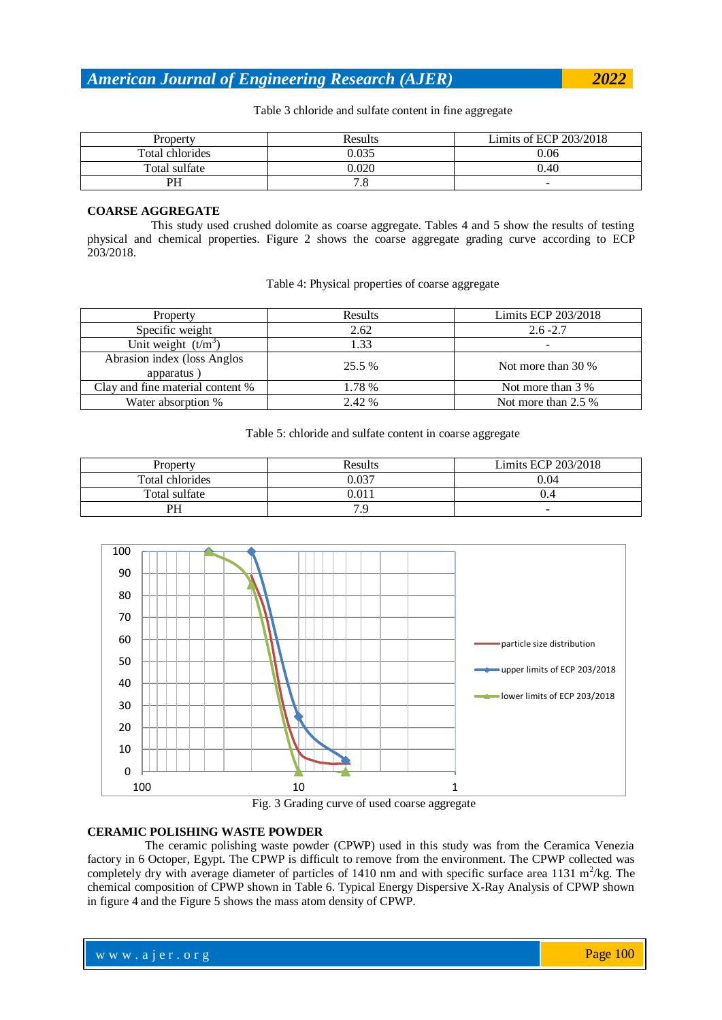Table 3 chloride and sulfate content in fine aggregate

| Property        | Results   | Limits of ECP 203/2018 |
|-----------------|-----------|------------------------|
| Total chlorides | 0.035     | 0.06                   |
| Total sulfate   | 0.020     | 0.40                   |
| PH              | $\cdot$ O | -                      |

### **COARSE AGGREGATE**

 This study used crushed dolomite as coarse aggregate. Tables 4 and 5 show the results of testing physical and chemical properties. Figure 2 shows the coarse aggregate grading curve according to ECP 203/2018.

## Table 4: Physical properties of coarse aggregate

| Property                                   | Results | Limits ECP 203/2018 |
|--------------------------------------------|---------|---------------------|
| Specific weight                            | 2.62    | $2.6 - 2.7$         |
| Unit weight $(t/m^3)$                      | 1.33    |                     |
| Abrasion index (loss Anglos)<br>apparatus) | 25.5%   | Not more than 30 %  |
| Clay and fine material content %           | 1.78 %  | Not more than 3 %   |
| Water absorption %                         | 2.42 %  | Not more than 2.5 % |

### Table 5: chloride and sulfate content in coarse aggregate

| Property        | Results | Limits ECP 203/2018 |
|-----------------|---------|---------------------|
| Total chlorides | 0.037   | 0.04                |
| Total sulfate   | 0.011   |                     |
| PH              |         | -                   |





## **CERAMIC POLISHING WASTE POWDER**

 The ceramic polishing waste powder (CPWP) used in this study was from the Ceramica Venezia factory in 6 Octoper, Egypt. The CPWP is difficult to remove from the environment. The CPWP collected was completely dry with average diameter of particles of 1410 nm and with specific surface area 1131  $\text{m}^2/\text{kg}$ . The chemical composition of CPWP shown in Table 6. Typical Energy Dispersive X-Ray Analysis of CPWP shown in figure 4 and the Figure 5 shows the mass atom density of CPWP.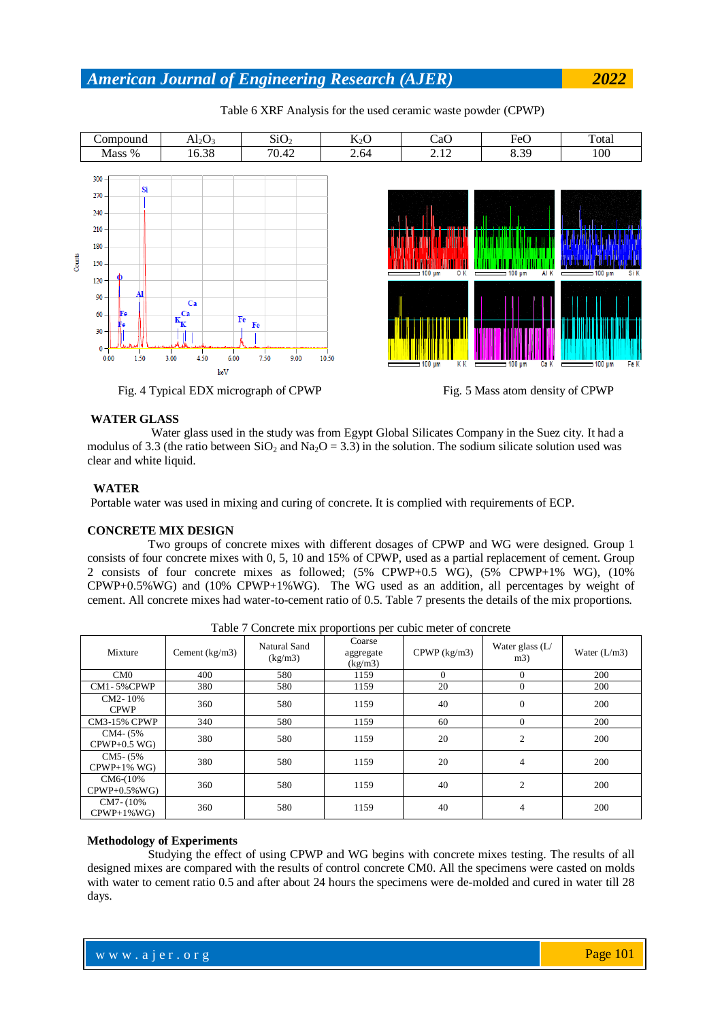

Table 6 XRF Analysis for the used ceramic waste powder (CPWP)





### **WATER GLASS**

 Water glass used in the study was from Egypt Global Silicates Company in the Suez city. It had a modulus of 3.3 (the ratio between  $SiO<sub>2</sub>$  and  $Na<sub>2</sub>O = 3.3$ ) in the solution. The sodium silicate solution used was clear and white liquid.

#### **WATER**

Portable water was used in mixing and curing of concrete. It is complied with requirements of ECP.

#### **CONCRETE MIX DESIGN**

 Two groups of concrete mixes with different dosages of CPWP and WG were designed. Group 1 consists of four concrete mixes with 0, 5, 10 and 15% of CPWP, used as a partial replacement of cement. Group 2 consists of four concrete mixes as followed; (5% CPWP+0.5 WG), (5% CPWP+1% WG), (10% CPWP+0.5%WG) and (10% CPWP+1%WG). The WG used as an addition, all percentages by weight of cement. All concrete mixes had water-to-cement ratio of 0.5. Table 7 presents the details of the mix proportions.

| Tuble / Concrete this proportions per eache meter of concrete |                  |                         |                                |                |                          |                |
|---------------------------------------------------------------|------------------|-------------------------|--------------------------------|----------------|--------------------------|----------------|
| Mixture                                                       | Cement $(kg/m3)$ | Natural Sand<br>(kg/m3) | Coarse<br>aggregate<br>(kg/m3) | $CPWP$ (kg/m3) | Water glass $(L)$<br>m3) | Water $(L/m3)$ |
| CM <sub>0</sub>                                               | 400              | 580                     | 1159                           | $\mathbf{0}$   | $\theta$                 | 200            |
| CM1-5%CPWP                                                    | 380              | 580                     | 1159                           | 20             | $\Omega$                 | 200            |
| CM2-10%<br><b>CPWP</b>                                        | 360              | 580                     | 1159                           | 40             | $\overline{0}$           | 200            |
| <b>CM3-15% CPWP</b>                                           | 340              | 580                     | 1159                           | 60             | $\Omega$                 | 200            |
| CM4- (5%)<br>$CPWP+0.5$ WG)                                   | 380              | 580                     | 1159                           | 20             | $\overline{c}$           | 200            |
| $CM5 - (5\%$<br>$CPWP+1\%$ WG)                                | 380              | 580                     | 1159                           | 20             | $\overline{4}$           | 200            |
| CM6-(10%<br>$CPWP+0.5\%WG$                                    | 360              | 580                     | 1159                           | 40             | 2                        | 200            |
| $CM7 - (10\%$<br>$CPWP+1\%WG$                                 | 360              | 580                     | 1159                           | 40             | $\overline{4}$           | 200            |

Table 7 Concrete mix proportions per cubic meter of concrete

## **Methodology of Experiments**

 Studying the effect of using CPWP and WG begins with concrete mixes testing. The results of all designed mixes are compared with the results of control concrete CM0. All the specimens were casted on molds with water to cement ratio 0.5 and after about 24 hours the specimens were de-molded and cured in water till 28 days.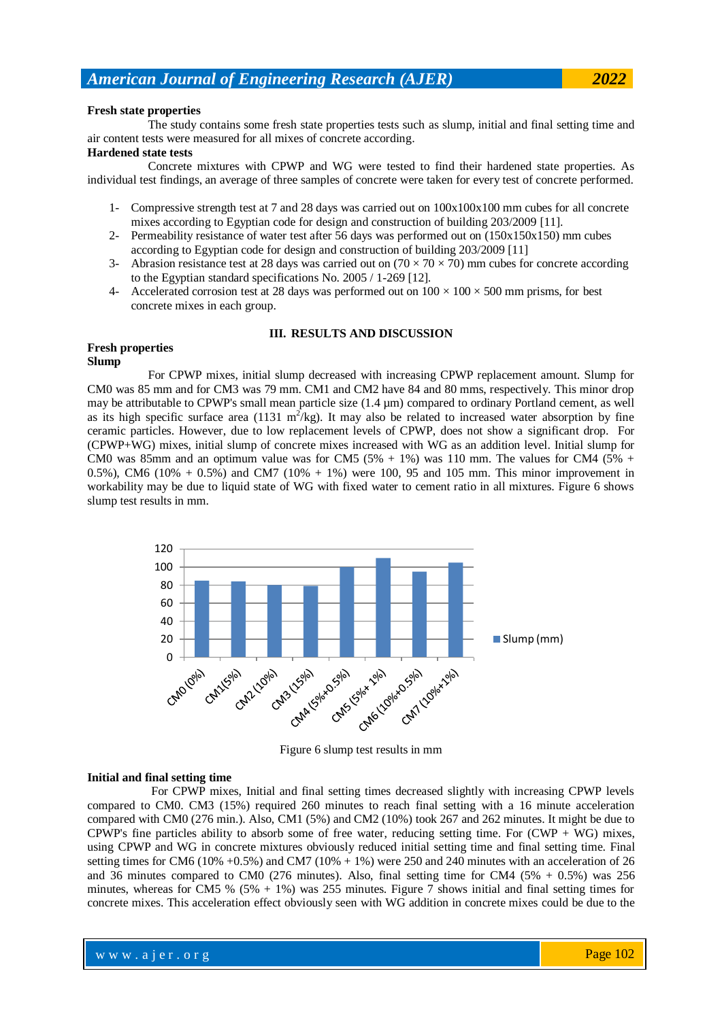#### **Fresh state properties**

 The study contains some fresh state properties tests such as slump, initial and final setting time and air content tests were measured for all mixes of concrete according.

#### **Hardened state tests**

 Concrete mixtures with CPWP and WG were tested to find their hardened state properties. As individual test findings, an average of three samples of concrete were taken for every test of concrete performed.

- 1- Compressive strength test at 7 and 28 days was carried out on 100x100x100 mm cubes for all concrete mixes according to Egyptian code for design and construction of building 203/2009 [11].
- 2- Permeability resistance of water test after 56 days was performed out on (150x150x150) mm cubes according to Egyptian code for design and construction of building 203/2009 [11]
- 3- Abrasion resistance test at 28 days was carried out on  $(70 \times 70 \times 70)$  mm cubes for concrete according to the Egyptian standard specifications No. 2005 / 1-269 [12].
- 4- Accelerated corrosion test at 28 days was performed out on  $100 \times 100 \times 500$  mm prisms, for best concrete mixes in each group.

## **III. RESULTS AND DISCUSSION**

#### **Fresh properties Slump**

 For CPWP mixes, initial slump decreased with increasing CPWP replacement amount. Slump for CM0 was 85 mm and for CM3 was 79 mm. CM1 and CM2 have 84 and 80 mms, respectively. This minor drop may be attributable to CPWP's small mean particle size (1.4 µm) compared to ordinary Portland cement, as well as its high specific surface area (1131  $m^2$ /kg). It may also be related to increased water absorption by fine ceramic particles. However, due to low replacement levels of CPWP, does not show a significant drop. For (CPWP+WG) mixes, initial slump of concrete mixes increased with WG as an addition level. Initial slump for CM0 was 85mm and an optimum value was for CM5  $(5\% + 1\%)$  was 110 mm. The values for CM4  $(5\% + 1\%)$ 0.5%), CM6 (10% + 0.5%) and CM7 (10% + 1%) were 100, 95 and 105 mm. This minor improvement in workability may be due to liquid state of WG with fixed water to cement ratio in all mixtures. Figure 6 shows slump test results in mm.



Figure 6 slump test results in mm

#### **Initial and final setting time**

 For CPWP mixes, Initial and final setting times decreased slightly with increasing CPWP levels compared to CM0. CM3 (15%) required 260 minutes to reach final setting with a 16 minute acceleration compared with CM0 (276 min.). Also, CM1 (5%) and CM2 (10%) took 267 and 262 minutes. It might be due to CPWP's fine particles ability to absorb some of free water, reducing setting time. For  $(CWP + WG)$  mixes, using CPWP and WG in concrete mixtures obviously reduced initial setting time and final setting time. Final setting times for CM6 (10% +0.5%) and CM7 (10% + 1%) were 250 and 240 minutes with an acceleration of 26 and 36 minutes compared to CM0 (276 minutes). Also, final setting time for CM4 (5%  $+$  0.5%) was 256 minutes, whereas for CM5 % (5% + 1%) was 255 minutes. Figure 7 shows initial and final setting times for concrete mixes. This acceleration effect obviously seen with WG addition in concrete mixes could be due to the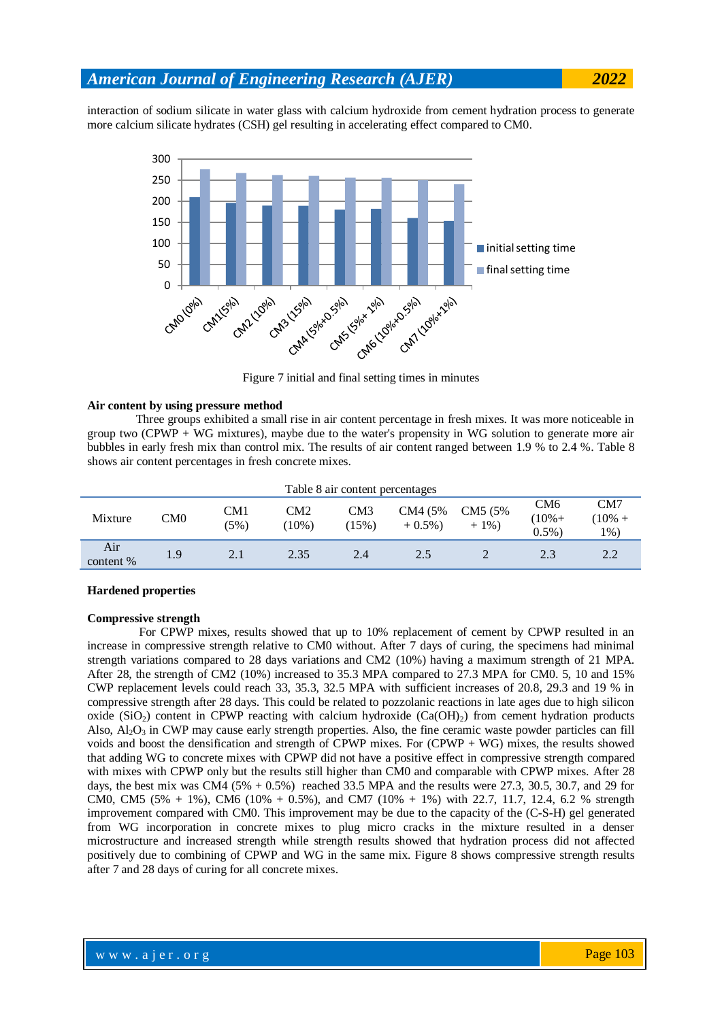interaction of sodium silicate in water glass with calcium hydroxide from cement hydration process to generate more calcium silicate hydrates (CSH) gel resulting in accelerating effect compared to CM0.



Figure 7 initial and final setting times in minutes

#### **Air content by using pressure method**

 Three groups exhibited a small rise in air content percentage in fresh mixes. It was more noticeable in group two (CPWP + WG mixtures), maybe due to the water's propensity in WG solution to generate more air bubbles in early fresh mix than control mix. The results of air content ranged between 1.9 % to 2.4 %. Table 8 shows air content percentages in fresh concrete mixes.

| Table 8 air content percentages |     |             |                |              |                      |                    |                              |                            |
|---------------------------------|-----|-------------|----------------|--------------|----------------------|--------------------|------------------------------|----------------------------|
| Mixture                         | CM0 | CM1<br>(5%) | CM2<br>$10\%)$ | CM3<br>(15%) | CM4 (5%)<br>$+0.5\%$ | CM5 (5%)<br>$+1\%$ | CM6<br>$(10% +$<br>$0.5\%$ ) | CM7<br>$10\% +$<br>$1\%$ ) |
| Air<br>content %                | 1.9 | 2.1         | 2.35           | 2.4          | 2.5                  |                    | 2.3                          | 2.2                        |

#### **Hardened properties**

### **Compressive strength**

 For CPWP mixes, results showed that up to 10% replacement of cement by CPWP resulted in an increase in compressive strength relative to CM0 without. After 7 days of curing, the specimens had minimal strength variations compared to 28 days variations and CM2 (10%) having a maximum strength of 21 MPA. After 28, the strength of CM2 (10%) increased to 35.3 MPA compared to 27.3 MPA for CM0. 5, 10 and 15% CWP replacement levels could reach 33, 35.3, 32.5 MPA with sufficient increases of 20.8, 29.3 and 19 % in compressive strength after 28 days. This could be related to pozzolanic reactions in late ages due to high silicon oxide (SiO<sub>2</sub>) content in CPWP reacting with calcium hydroxide (Ca(OH)<sub>2</sub>) from cement hydration products Also,  $\text{Al}_2\text{O}_3$  in CWP may cause early strength properties. Also, the fine ceramic waste powder particles can fill voids and boost the densification and strength of CPWP mixes. For (CPWP + WG) mixes, the results showed that adding WG to concrete mixes with CPWP did not have a positive effect in compressive strength compared with mixes with CPWP only but the results still higher than CM0 and comparable with CPWP mixes. After 28 days, the best mix was CM4  $(5\% + 0.5\%)$  reached 33.5 MPA and the results were 27.3, 30.5, 30.7, and 29 for CM0, CM5  $(5\% + 1\%)$ , CM6  $(10\% + 0.5\%)$ , and CM7  $(10\% + 1\%)$  with 22.7, 11.7, 12.4, 6.2 % strength improvement compared with CM0. This improvement may be due to the capacity of the (C-S-H) gel generated from WG incorporation in concrete mixes to plug micro cracks in the mixture resulted in a denser microstructure and increased strength while strength results showed that hydration process did not affected positively due to combining of CPWP and WG in the same mix. Figure 8 shows compressive strength results after 7 and 28 days of curing for all concrete mixes.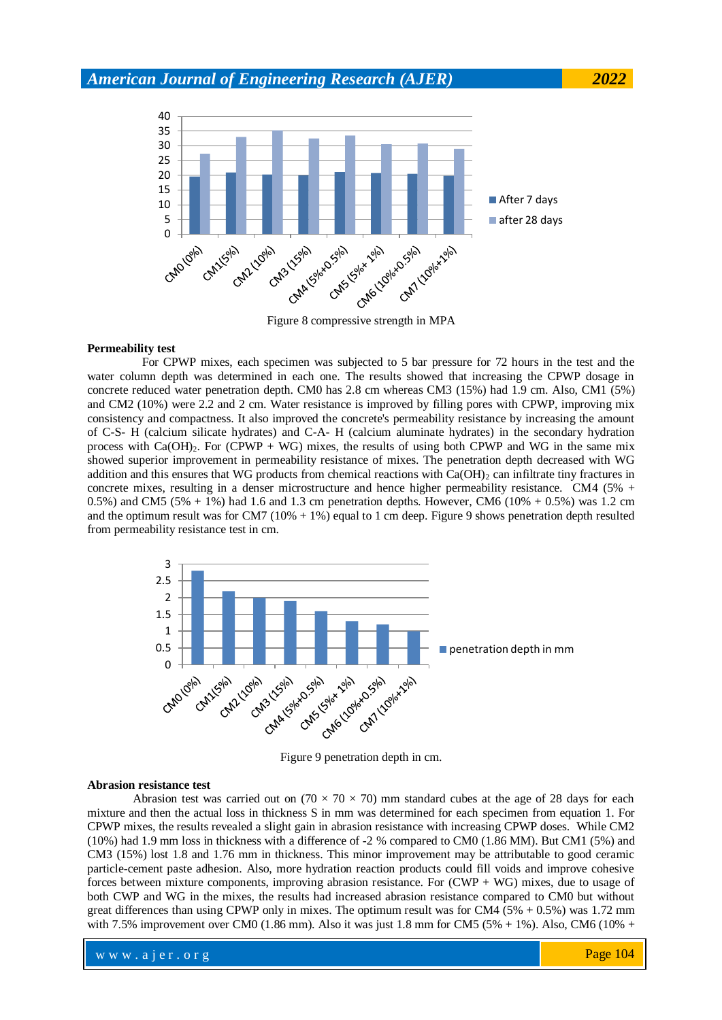

Figure 8 compressive strength in MPA

#### **Permeability test**

 For CPWP mixes, each specimen was subjected to 5 bar pressure for 72 hours in the test and the water column depth was determined in each one. The results showed that increasing the CPWP dosage in concrete reduced water penetration depth. CM0 has 2.8 cm whereas CM3 (15%) had 1.9 cm. Also, CM1 (5%) and CM2 (10%) were 2.2 and 2 cm. Water resistance is improved by filling pores with CPWP, improving mix consistency and compactness. It also improved the concrete's permeability resistance by increasing the amount of C-S- H (calcium silicate hydrates) and C-A- H (calcium aluminate hydrates) in the secondary hydration process with  $Ca(OH)_{2}$ . For (CPWP + WG) mixes, the results of using both CPWP and WG in the same mix showed superior improvement in permeability resistance of mixes. The penetration depth decreased with WG addition and this ensures that WG products from chemical reactions with  $Ca(OH)_2$  can infiltrate tiny fractures in concrete mixes, resulting in a denser microstructure and hence higher permeability resistance. CM4 (5% + 0.5%) and CM5 (5% + 1%) had 1.6 and 1.3 cm penetration depths. However, CM6 (10% + 0.5%) was 1.2 cm and the optimum result was for CM7 ( $10\% + 1\%$ ) equal to 1 cm deep. Figure 9 shows penetration depth resulted from permeability resistance test in cm.



Figure 9 penetration depth in cm.

#### **Abrasion resistance test**

Abrasion test was carried out on  $(70 \times 70 \times 70)$  mm standard cubes at the age of 28 days for each mixture and then the actual loss in thickness S in mm was determined for each specimen from equation 1. For CPWP mixes, the results revealed a slight gain in abrasion resistance with increasing CPWP doses. While CM2 (10%) had 1.9 mm loss in thickness with a difference of -2 % compared to CM0 (1.86 MM). But CM1 (5%) and CM3 (15%) lost 1.8 and 1.76 mm in thickness. This minor improvement may be attributable to good ceramic particle-cement paste adhesion. Also, more hydration reaction products could fill voids and improve cohesive forces between mixture components, improving abrasion resistance. For (CWP + WG) mixes, due to usage of both CWP and WG in the mixes, the results had increased abrasion resistance compared to CM0 but without great differences than using CPWP only in mixes. The optimum result was for  $CM4$  (5% + 0.5%) was 1.72 mm with 7.5% improvement over CM0 (1.86 mm). Also it was just 1.8 mm for CM5 (5% + 1%). Also, CM6 (10% +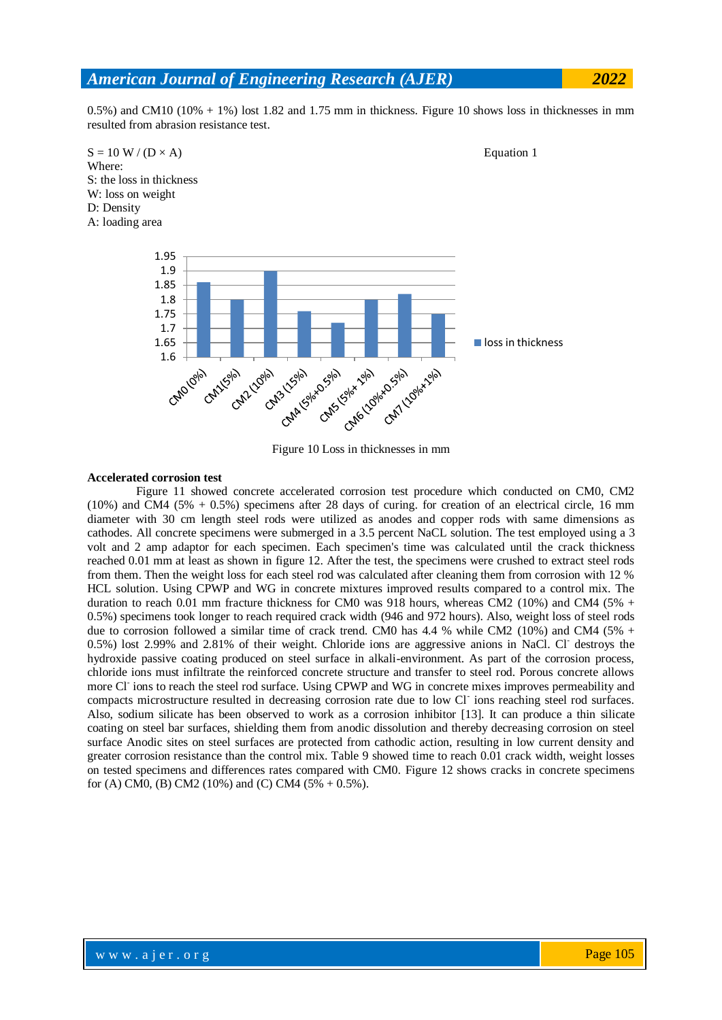$(0.5\%)$  and CM10 ( $10\% + 1\%)$  lost 1.82 and 1.75 mm in thickness. Figure 10 shows loss in thicknesses in mm resulted from abrasion resistance test.



Figure 10 Loss in thicknesses in mm

#### **Accelerated corrosion test**

 Figure 11 showed concrete accelerated corrosion test procedure which conducted on CM0, CM2 (10%) and CM4 (5% + 0.5%) specimens after 28 days of curing. for creation of an electrical circle, 16 mm diameter with 30 cm length steel rods were utilized as anodes and copper rods with same dimensions as cathodes. All concrete specimens were submerged in a 3.5 percent NaCL solution. The test employed using a 3 volt and 2 amp adaptor for each specimen. Each specimen's time was calculated until the crack thickness reached 0.01 mm at least as shown in figure 12. After the test, the specimens were crushed to extract steel rods from them. Then the weight loss for each steel rod was calculated after cleaning them from corrosion with 12 % HCL solution. Using CPWP and WG in concrete mixtures improved results compared to a control mix. The duration to reach 0.01 mm fracture thickness for CM0 was 918 hours, whereas CM2 (10%) and CM4 (5% + 0.5%) specimens took longer to reach required crack width (946 and 972 hours). Also, weight loss of steel rods due to corrosion followed a similar time of crack trend. CM0 has 4.4 % while CM2 (10%) and CM4 (5% + 0.5%) lost 2.99% and 2.81% of their weight. Chloride ions are aggressive anions in NaCl. Cl-destroys the hydroxide passive coating produced on steel surface in alkali-environment. As part of the corrosion process, chloride ions must infiltrate the reinforced concrete structure and transfer to steel rod. Porous concrete allows more Cl<sup>-</sup> ions to reach the steel rod surface. Using CPWP and WG in concrete mixes improves permeability and compacts microstructure resulted in decreasing corrosion rate due to low Cl<sup>-</sup> ions reaching steel rod surfaces. Also, sodium silicate has been observed to work as a corrosion inhibitor [13]. It can produce a thin silicate coating on steel bar surfaces, shielding them from anodic dissolution and thereby decreasing corrosion on steel surface Anodic sites on steel surfaces are protected from cathodic action, resulting in low current density and greater corrosion resistance than the control mix. Table 9 showed time to reach 0.01 crack width, weight losses on tested specimens and differences rates compared with CM0. Figure 12 shows cracks in concrete specimens for (A) CM0, (B) CM2 (10%) and (C) CM4 (5% + 0.5%).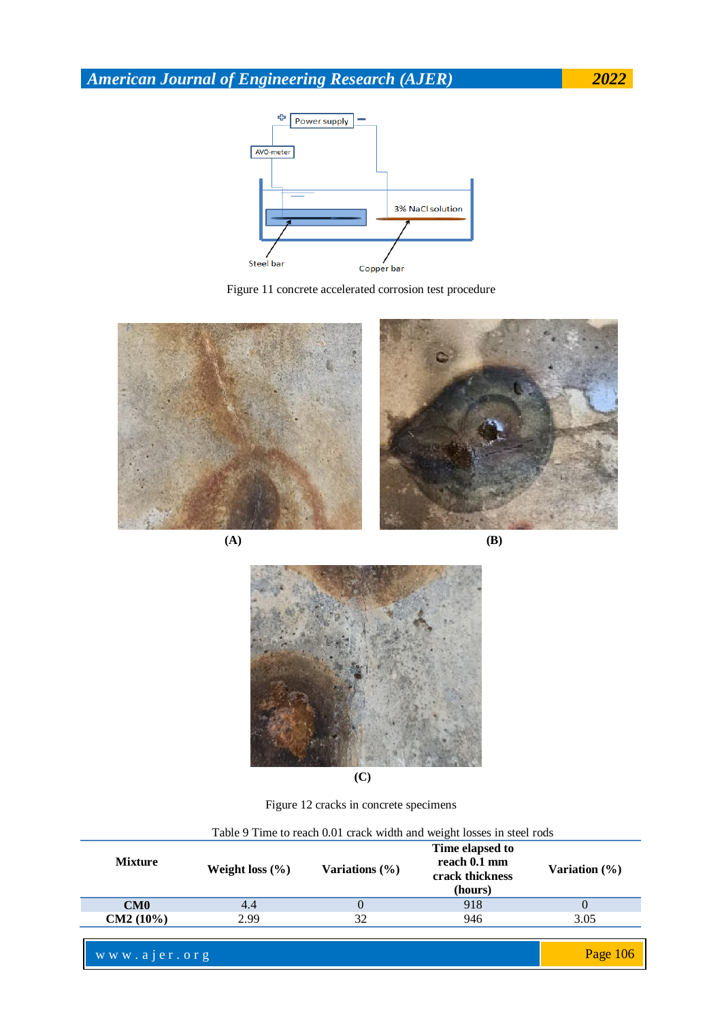





**(A) (B)**



**(C)**

Figure 12 cracks in concrete specimens

| I able 9 Thile to reach 0.01 crack width and weight losses in steel rous |                     |                    |                                                               |                  |  |  |
|--------------------------------------------------------------------------|---------------------|--------------------|---------------------------------------------------------------|------------------|--|--|
| <b>Mixture</b>                                                           | Weight loss $(\% )$ | Variations $(\% )$ | Time elapsed to<br>reach 0.1 mm<br>crack thickness<br>(hours) | Variation $(\%)$ |  |  |
| CM0                                                                      | 4.4                 |                    | 918                                                           |                  |  |  |
| $CM2 (10\%)$                                                             | 2.99                | 32                 | 946                                                           | 3.05             |  |  |
|                                                                          |                     |                    |                                                               |                  |  |  |

Table 9 Time to reach 0.01 crack width and weight losses in steel rods

www.ajer.org